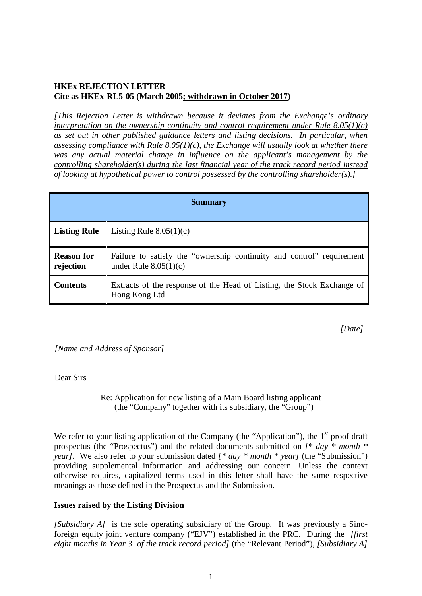# **HKEx REJECTION LETTER Cite as HKEx-RL5-05 (March 2005; withdrawn in October 2017)**

*[This Rejection Letter is withdrawn because it deviates from the Exchange's ordinary interpretation on the ownership continuity and control requirement under Rule 8.05(1)(c) as set out in other published guidance letters and listing decisions. In particular, when assessing compliance with Rule 8.05(1)(c), the Exchange will usually look at whether there was any actual material change in influence on the applicant's management by the controlling shareholder(s) during the last financial year of the track record period instead of looking at hypothetical power to control possessed by the controlling shareholder(s).]*

| <b>Summary</b>                 |                                                                                                  |
|--------------------------------|--------------------------------------------------------------------------------------------------|
| <b>Listing Rule</b>            | Listing Rule $8.05(1)(c)$                                                                        |
| <b>Reason for</b><br>rejection | Failure to satisfy the "ownership continuity and control" requirement<br>under Rule $8.05(1)(c)$ |
| <b>Contents</b>                | Extracts of the response of the Head of Listing, the Stock Exchange of<br>Hong Kong Ltd          |

*[Date]*

*[Name and Address of Sponsor]*

Dear Sirs

Re: Application for new listing of a Main Board listing applicant (the "Company" together with its subsidiary, the "Group")

We refer to your listing application of the Company (the "Application"), the  $1<sup>st</sup>$  proof draft prospectus (the "Prospectus") and the related documents submitted on *[\* day \* month \* year]*. We also refer to your submission dated  $f * day * month * year$  (the "Submission") providing supplemental information and addressing our concern. Unless the context otherwise requires, capitalized terms used in this letter shall have the same respective meanings as those defined in the Prospectus and the Submission.

### **Issues raised by the Listing Division**

*[Subsidiary A]* is the sole operating subsidiary of the Group. It was previously a Sinoforeign equity joint venture company ("EJV") established in the PRC. During the *[first eight months in Year 3 of the track record period]* (the "Relevant Period"), *[Subsidiary A]*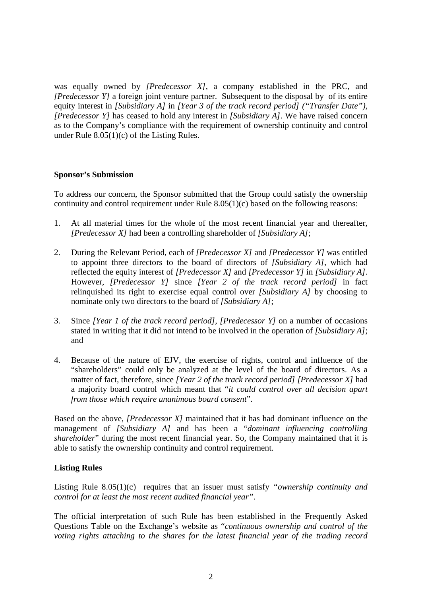was equally owned by *[Predecessor X]*, a company established in the PRC, and *[Predecessor Y]* a foreign joint venture partner. Subsequent to the disposal by of its entire equity interest in *[Subsidiary A]* in *[Year 3 of the track record period] ("Transfer Date"), [Predecessor Y]* has ceased to hold any interest in *[Subsidiary A]*. We have raised concern as to the Company's compliance with the requirement of ownership continuity and control under Rule  $8.05(1)(c)$  of the Listing Rules.

### **Sponsor's Submission**

To address our concern, the Sponsor submitted that the Group could satisfy the ownership continuity and control requirement under Rule 8.05(1)(c) based on the following reasons:

- 1. At all material times for the whole of the most recent financial year and thereafter, *[Predecessor X]* had been a controlling shareholder of *[Subsidiary A]*;
- 2. During the Relevant Period, each of *[Predecessor X]* and *[Predecessor Y]* was entitled to appoint three directors to the board of directors of *[Subsidiary A]*, which had reflected the equity interest of *[Predecessor X]* and *[Predecessor Y]* in *[Subsidiary A]*. However, *[Predecessor Y]* since *[Year 2 of the track record period]* in fact relinquished its right to exercise equal control over *[Subsidiary A]* by choosing to nominate only two directors to the board of *[Subsidiary A]*;
- 3. Since *[Year 1 of the track record period]*, *[Predecessor Y]* on a number of occasions stated in writing that it did not intend to be involved in the operation of *[Subsidiary A]*; and
- 4. Because of the nature of EJV, the exercise of rights, control and influence of the "shareholders" could only be analyzed at the level of the board of directors. As a matter of fact, therefore, since *[Year 2 of the track record period] [Predecessor X]* had a majority board control which meant that "*it could control over all decision apart from those which require unanimous board consent*".

Based on the above, *[Predecessor X]* maintained that it has had dominant influence on the management of *[Subsidiary A]* and has been a "*dominant influencing controlling shareholder*" during the most recent financial year. So, the Company maintained that it is able to satisfy the ownership continuity and control requirement.

## **Listing Rules**

Listing Rule 8.05(1)(c) requires that an issuer must satisfy *"ownership continuity and control for at least the most recent audited financial year"*.

The official interpretation of such Rule has been established in the Frequently Asked Questions Table on the Exchange's website as "*continuous ownership and control of the voting rights attaching to the shares for the latest financial year of the trading record*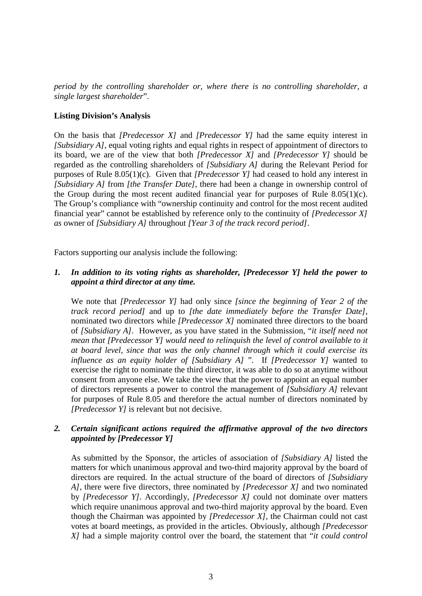*period by the controlling shareholder or, where there is no controlling shareholder, a single largest shareholder*".

#### **Listing Division's Analysis**

On the basis that *[Predecessor X]* and *[Predecessor Y]* had the same equity interest in *[Subsidiary A]*, equal voting rights and equal rights in respect of appointment of directors to its board, we are of the view that both *[Predecessor X]* and *[Predecessor Y]* should be regarded as the controlling shareholders of *[Subsidiary A]* during the Relevant Period for purposes of Rule 8.05(1)(c). Given that *[Predecessor Y]* had ceased to hold any interest in *[Subsidiary A]* from *[the Transfer Date]*, there had been a change in ownership control of the Group during the most recent audited financial year for purposes of Rule 8.05(1)(c). The Group's compliance with "ownership continuity and control for the most recent audited financial year" cannot be established by reference only to the continuity of *[Predecessor X] as* owner of *[Subsidiary A]* throughout *[Year 3 of the track record period]*.

Factors supporting our analysis include the following:

### *1. In addition to its voting rights as shareholder, [Predecessor Y] held the power to appoint a third director at any time.*

We note that *[Predecessor Y]* had only since *[since the beginning of Year 2 of the track record period]* and up to *[the date immediately before the Transfer Date]*, nominated two directors while *[Predecessor X]* nominated three directors to the board of *[Subsidiary A]*. However, as you have stated in the Submission, "*it itself need not mean that [Predecessor Y] would need to relinquish the level of control available to it at board level, since that was the only channel through which it could exercise its influence as an equity holder of [Subsidiary A]* ". If *[Predecessor Y]* wanted to exercise the right to nominate the third director, it was able to do so at anytime without consent from anyone else. We take the view that the power to appoint an equal number of directors represents a power to control the management of *[Subsidiary A]* relevant for purposes of Rule 8.05 and therefore the actual number of directors nominated by *[Predecessor Y]* is relevant but not decisive.

### *2. Certain significant actions required the affirmative approval of the two directors appointed by [Predecessor Y]*

As submitted by the Sponsor, the articles of association of *[Subsidiary A]* listed the matters for which unanimous approval and two-third majority approval by the board of directors are required. In the actual structure of the board of directors of *[Subsidiary A]*, there were five directors, three nominated by *[Predecessor X]* and two nominated by *[Predecessor Y].* Accordingly, *[Predecessor X]* could not dominate over matters which require unanimous approval and two-third majority approval by the board. Even though the Chairman was appointed by *[Predecessor X],* the Chairman could not cast votes at board meetings, as provided in the articles. Obviously, although *[Predecessor X]* had a simple majority control over the board, the statement that "*it could control*